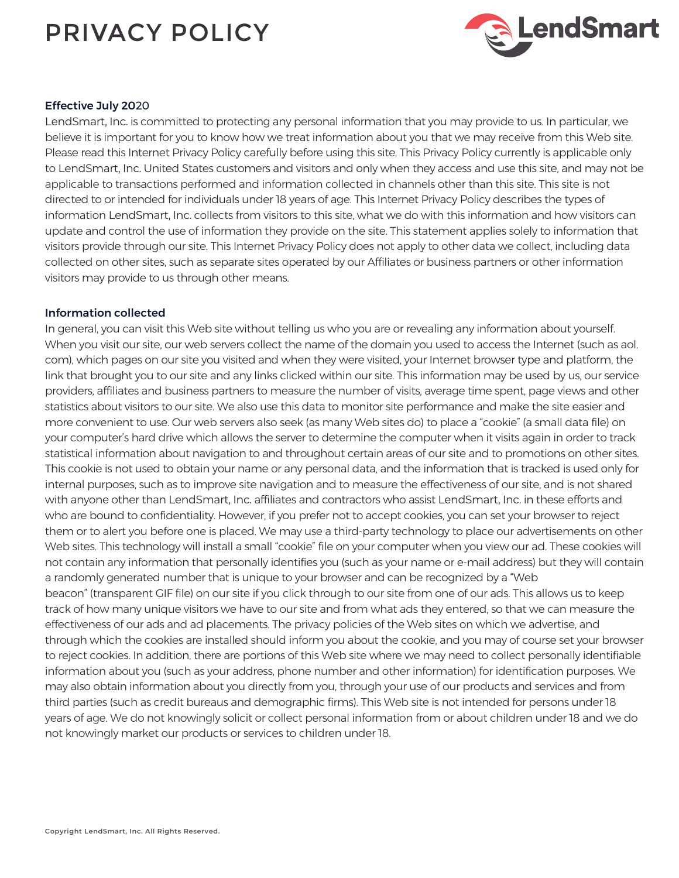# PRIVACY POLICY



## Effective July 2020

LendSmart, Inc. is committed to protecting any personal information that you may provide to us. In particular, we believe it is important for you to know how we treat information about you that we may receive from this Web site. Please read this Internet Privacy Policy carefully before using this site. This Privacy Policy currently is applicable only to LendSmart, Inc. United States customers and visitors and only when they access and use this site, and may not be applicable to transactions performed and information collected in channels other than this site. This site is not directed to or intended for individuals under 18 years of age. This Internet Privacy Policy describes the types of information LendSmart, Inc. collects from visitors to this site, what we do with this information and how visitors can update and control the use of information they provide on the site. This statement applies solely to information that visitors provide through our site. This Internet Privacy Policy does not apply to other data we collect, including data collected on other sites, such as separate sites operated by our Affiliates or business partners or other information visitors may provide to us through other means.

## Information collected

In general, you can visit this Web site without telling us who you are or revealing any information about yourself. When you visit our site, our web servers collect the name of the domain you used to access the Internet (such as aol. com), which pages on our site you visited and when they were visited, your Internet browser type and platform, the link that brought you to our site and any links clicked within our site. This information may be used by us, our service providers, affiliates and business partners to measure the number of visits, average time spent, page views and other statistics about visitors to our site. We also use this data to monitor site performance and make the site easier and more convenient to use. Our web servers also seek (as many Web sites do) to place a "cookie" (a small data file) on your computer's hard drive which allows the server to determine the computer when it visits again in order to track statistical information about navigation to and throughout certain areas of our site and to promotions on other sites. This cookie is not used to obtain your name or any personal data, and the information that is tracked is used only for internal purposes, such as to improve site navigation and to measure the effectiveness of our site, and is not shared with anyone other than LendSmart, Inc. affiliates and contractors who assist LendSmart, Inc. in these efforts and who are bound to confidentiality. However, if you prefer not to accept cookies, you can set your browser to reject them or to alert you before one is placed. We may use a third-party technology to place our advertisements on other Web sites. This technology will install a small "cookie" file on your computer when you view our ad. These cookies will not contain any information that personally identifies you (such as your name or e-mail address) but they will contain a randomly generated number that is unique to your browser and can be recognized by a "Web beacon" (transparent GIF file) on our site if you click through to our site from one of our ads. This allows us to keep track of how many unique visitors we have to our site and from what ads they entered, so that we can measure the effectiveness of our ads and ad placements. The privacy policies of the Web sites on which we advertise, and through which the cookies are installed should inform you about the cookie, and you may of course set your browser to reject cookies. In addition, there are portions of this Web site where we may need to collect personally identifiable information about you (such as your address, phone number and other information) for identification purposes. We may also obtain information about you directly from you, through your use of our products and services and from third parties (such as credit bureaus and demographic firms). This Web site is not intended for persons under 18 years of age. We do not knowingly solicit or collect personal information from or about children under 18 and we do not knowingly market our products or services to children under 18.